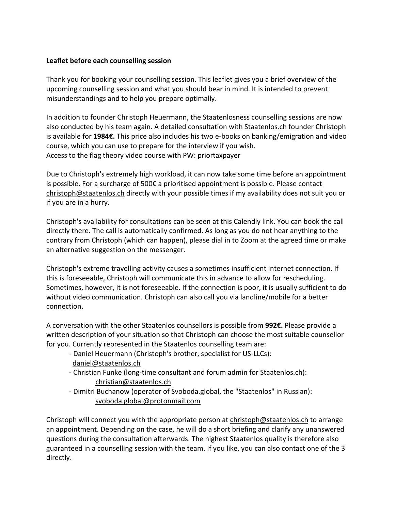# **Leaflet before each counselling session**

Thank you for booking your counselling session. This leaflet gives you a brief overview of the upcoming counselling session and what you should bear in mind. It is intended to prevent misunderstandings and to help you prepare optimally.

In addition to founder Christoph Heuermann, the Staatenlosness counselling sessions are now also conducted by his team again. A detailed consultation with Staatenlos.ch founder Christoph is available for **1984€.** This price also includes his two e-books on banking/emigration and video course, which you can use to prepare for the interview if you wish. Access to the flag theory video course with PW: priortaxpayer

Due to Christoph's extremely high workload, it can now take some time before an appointment is possible. For a surcharge of 500€ a prioritised appointment is possible. Please contact christoph@staatenlos.ch directly with your possible times if my availability does not suit you or if you are in a hurry.

Christoph's availability for consultations can be seen at this Calendly link. You can book the call directly there. The call is automatically confirmed. As long as you do not hear anything to the contrary from Christoph (which can happen), please dial in to Zoom at the agreed time or make an alternative suggestion on the messenger.

Christoph's extreme travelling activity causes a sometimes insufficient internet connection. If this is foreseeable, Christoph will communicate this in advance to allow for rescheduling. Sometimes, however, it is not foreseeable. If the connection is poor, it is usually sufficient to do without video communication. Christoph can also call you via landline/mobile for a better connection.

A conversation with the other Staatenlos counsellors is possible from **992€.** Please provide a written description of your situation so that Christoph can choose the most suitable counsellor for you. Currently represented in the Staatenlos counselling team are:

- Daniel Heuermann (Christoph's brother, specialist for US-LLCs): daniel@staatenlos.ch
- Christian Funke (long-time consultant and forum admin for Staatenlos.ch): christian@staatenlos.ch
- Dimitri Buchanow (operator of Svoboda.global, the "Staatenlos" in Russian): svoboda.global@protonmail.com

Christoph will connect you with the appropriate person at christoph@staatenlos.ch to arrange an appointment. Depending on the case, he will do a short briefing and clarify any unanswered questions during the consultation afterwards. The highest Staatenlos quality is therefore also guaranteed in a counselling session with the team. If you like, you can also contact one of the 3 directly.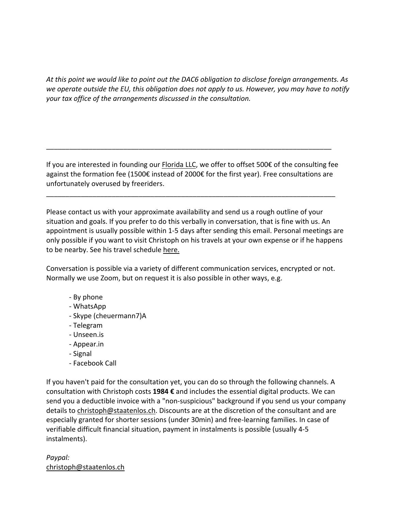*At this point we would like to point out the DAC6 obligation to disclose foreign arrangements. As we operate outside the EU, this obligation does not apply to us. However, you may have to notify your tax office of the arrangements discussed in the consultation.*

If you are interested in founding our Florida LLC, we offer to offset 500€ of the consulting fee against the formation fee (1500€ instead of 2000€ for the first year). Free consultations are unfortunately overused by freeriders.

\_\_\_\_\_\_\_\_\_\_\_\_\_\_\_\_\_\_\_\_\_\_\_\_\_\_\_\_\_\_\_\_\_\_\_\_\_\_\_\_\_\_\_\_\_\_\_\_\_\_\_\_\_\_\_\_\_\_\_\_\_\_\_\_\_\_\_\_\_\_\_\_\_\_\_

\_\_\_\_\_\_\_\_\_\_\_\_\_\_\_\_\_\_\_\_\_\_\_\_\_\_\_\_\_\_\_\_\_\_\_\_\_\_\_\_\_\_\_\_\_\_\_\_\_\_\_\_\_\_\_\_\_\_\_\_\_\_\_\_\_\_\_\_\_\_\_\_\_\_

Please contact us with your approximate availability and send us a rough outline of your situation and goals. If you prefer to do this verbally in conversation, that is fine with us. An appointment is usually possible within 1-5 days after sending this email. Personal meetings are only possible if you want to visit Christoph on his travels at your own expense or if he happens to be nearby. See his travel schedule here.

Conversation is possible via a variety of different communication services, encrypted or not. Normally we use Zoom, but on request it is also possible in other ways, e.g.

- By phone
- WhatsApp
- Skype (cheuermann7)A
- Telegram
- Unseen.is
- Appear.in
- Signal
- Facebook Call

If you haven't paid for the consultation yet, you can do so through the following channels. A consultation with Christoph costs **1984 €** and includes the essential digital products. We can send you a deductible invoice with a "non-suspicious" background if you send us your company details to christoph@staatenlos.ch. Discounts are at the discretion of the consultant and are especially granted for shorter sessions (under 30min) and free-learning families. In case of verifiable difficult financial situation, payment in instalments is possible (usually 4-5 instalments).

*Paypal:*  christoph@staatenlos.ch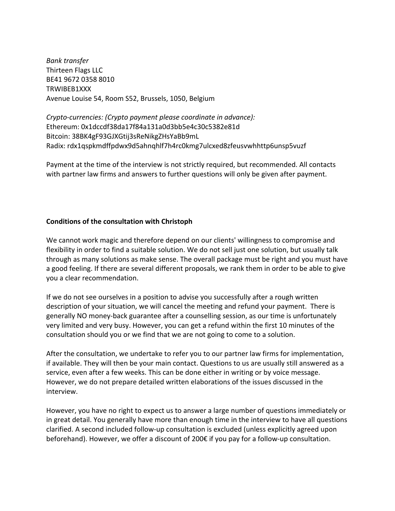*Bank transfer* Thirteen Flags LLC BE41 9672 0358 8010 TRWIBEB1XXX Avenue Louise 54, Room S52, Brussels, 1050, Belgium

*Crypto-currencies: (Crypto payment please coordinate in advance):* Ethereum: 0x1dccdf38da17f84a131a0d3bb5e4c30c5382e81d Bitcoin: 38BK4gF93GJXGtij3sReNikgZHsYaBb9mL Radix: rdx1qspkmdffpdwx9d5ahnqhlf7h4rc0kmg7ulcxed8zfeusvwhhttp6unsp5vuzf

Payment at the time of the interview is not strictly required, but recommended. All contacts with partner law firms and answers to further questions will only be given after payment.

### **Conditions of the consultation with Christoph**

We cannot work magic and therefore depend on our clients' willingness to compromise and flexibility in order to find a suitable solution. We do not sell just one solution, but usually talk through as many solutions as make sense. The overall package must be right and you must have a good feeling. If there are several different proposals, we rank them in order to be able to give you a clear recommendation.

If we do not see ourselves in a position to advise you successfully after a rough written description of your situation, we will cancel the meeting and refund your payment. There is generally NO money-back guarantee after a counselling session, as our time is unfortunately very limited and very busy. However, you can get a refund within the first 10 minutes of the consultation should you or we find that we are not going to come to a solution.

After the consultation, we undertake to refer you to our partner law firms for implementation, if available. They will then be your main contact. Questions to us are usually still answered as a service, even after a few weeks. This can be done either in writing or by voice message. However, we do not prepare detailed written elaborations of the issues discussed in the interview.

However, you have no right to expect us to answer a large number of questions immediately or in great detail. You generally have more than enough time in the interview to have all questions clarified. A second included follow-up consultation is excluded (unless explicitly agreed upon beforehand). However, we offer a discount of 200€ if you pay for a follow-up consultation.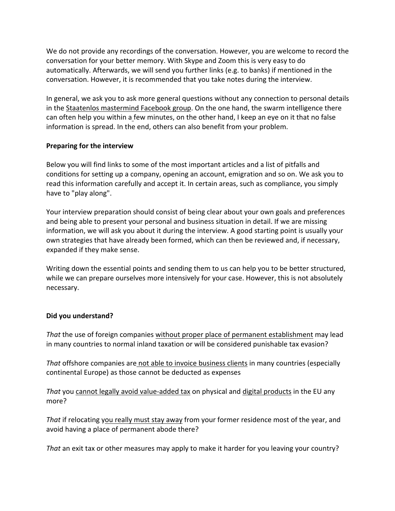We do not provide any recordings of the conversation. However, you are welcome to record the conversation for your better memory. With Skype and Zoom this is very easy to do automatically. Afterwards, we will send you further links (e.g. to banks) if mentioned in the conversation. However, it is recommended that you take notes during the interview.

In general, we ask you to ask more general questions without any connection to personal details in the Staatenlos mastermind Facebook group. On the one hand, the swarm intelligence there can often help you within a few minutes, on the other hand, I keep an eye on it that no false information is spread. In the end, others can also benefit from your problem.

# **Preparing for the interview**

Below you will find links to some of the most important articles and a list of pitfalls and conditions for setting up a company, opening an account, emigration and so on. We ask you to read this information carefully and accept it. In certain areas, such as compliance, you simply have to "play along".

Your interview preparation should consist of being clear about your own goals and preferences and being able to present your personal and business situation in detail. If we are missing information, we will ask you about it during the interview. A good starting point is usually your own strategies that have already been formed, which can then be reviewed and, if necessary, expanded if they make sense.

Writing down the essential points and sending them to us can help you to be better structured, while we can prepare ourselves more intensively for your case. However, this is not absolutely necessary.

# **Did you understand?**

*That* the use of foreign companies without proper place of permanent establishment may lead in many countries to normal inland taxation or will be considered punishable tax evasion?

*That* offshore companies are not able to invoice business clients in many countries (especially continental Europe) as those cannot be deducted as expenses

*That* you cannot legally avoid value-added tax on physical and digital products in the EU any more?

*That* if relocating you really must stay away from your former residence most of the year, and avoid having a place of permanent abode there?

*That* an exit tax or other measures may apply to make it harder for you leaving your country?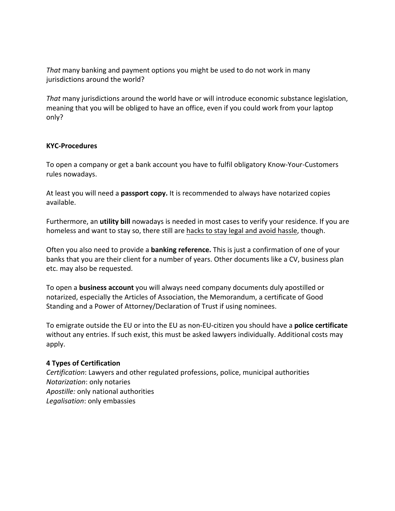*That* many banking and payment options you might be used to do not work in many jurisdictions around the world?

*That* many jurisdictions around the world have or will introduce economic substance legislation, meaning that you will be obliged to have an office, even if you could work from your laptop only?

### **KYC-Procedures**

To open a company or get a bank account you have to fulfil obligatory Know-Your-Customers rules nowadays.

At least you will need a **passport copy.** It is recommended to always have notarized copies available.

Furthermore, an **utility bill** nowadays is needed in most cases to verify your residence. If you are homeless and want to stay so, there still are hacks to stay legal and avoid hassle, though.

Often you also need to provide a **banking reference.** This is just a confirmation of one of your banks that you are their client for a number of years. Other documents like a CV, business plan etc. may also be requested.

To open a **business account** you will always need company documents duly apostilled or notarized, especially the Articles of Association, the Memorandum, a certificate of Good Standing and a Power of Attorney/Declaration of Trust if using nominees.

To emigrate outside the EU or into the EU as non-EU-citizen you should have a **police certificate** without any entries. If such exist, this must be asked lawyers individually. Additional costs may apply.

### **4 Types of Certification**

*Certification*: Lawyers and other regulated professions, police, municipal authorities *Notarization*: only notaries *Apostille:* only national authorities *Legalisation*: only embassies